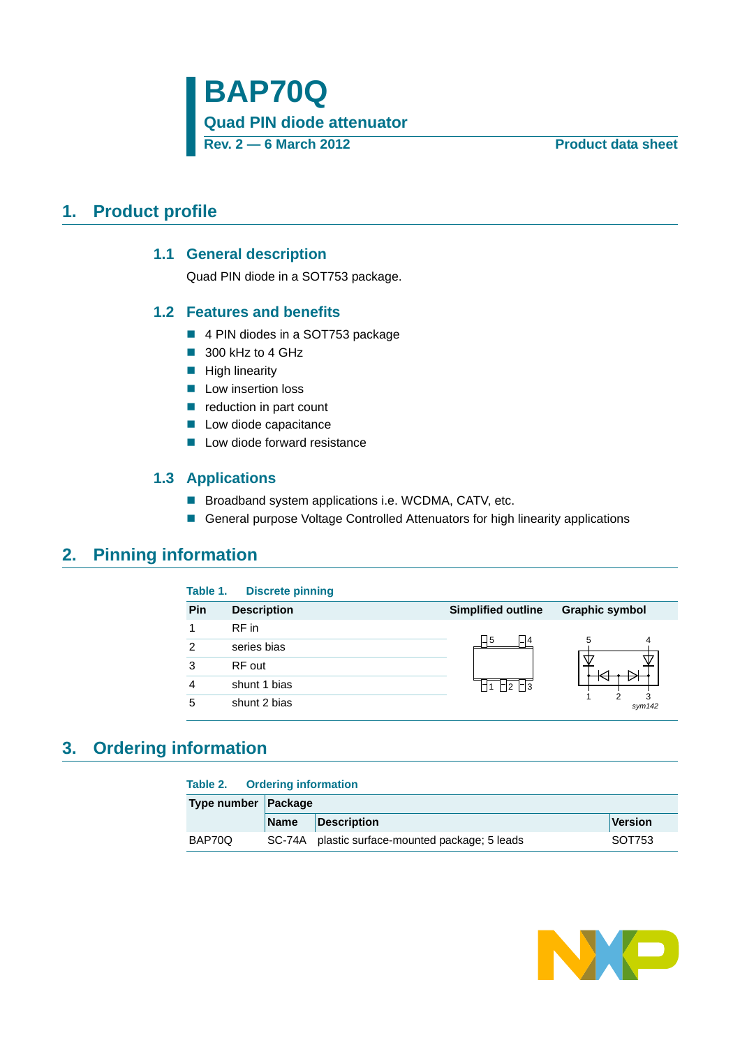**Quad PIN diode attenuator**

**Rev. 2 — 6 March 2012 Product data sheet**

## <span id="page-0-1"></span><span id="page-0-0"></span>**1. Product profile**

### **1.1 General description**

Quad PIN diode in a SOT753 package.

### <span id="page-0-2"></span>**1.2 Features and benefits**

- 4 PIN diodes in a SOT753 package
- 300 kHz to 4 GHz
- $\blacksquare$  High linearity
- **Low insertion loss**
- $\blacksquare$  reduction in part count
- **Low diode capacitance**
- **Low diode forward resistance**

### **1.3 Applications**

- Broadband system applications i.e. WCDMA, CATV, etc.
- General purpose Voltage Controlled Attenuators for high linearity applications

### <span id="page-0-4"></span><span id="page-0-3"></span>**2. Pinning information**

| Table 1.       | <b>Discrete pinning</b> |                            |                       |
|----------------|-------------------------|----------------------------|-----------------------|
| Pin            | <b>Description</b>      | <b>Simplified outline</b>  | <b>Graphic symbol</b> |
|                | RF in                   |                            |                       |
| $\mathfrak{p}$ | series bias             | $\Box$ 5<br>$\Box$ 4       | 5<br>4                |
| 3              | RF out                  |                            |                       |
| 4              | shunt 1 bias            | $\Box$ 2 $\Box$ 3<br>I⊤I 1 |                       |
| 5              | shunt 2 bias            |                            | sym142                |

## <span id="page-0-5"></span>**3. Ordering information**

| Table 2. |  | <b>Ordering information</b> |
|----------|--|-----------------------------|
|----------|--|-----------------------------|

| Type number Package |             |                                                 |         |  |  |
|---------------------|-------------|-------------------------------------------------|---------|--|--|
|                     | <b>Name</b> | Description                                     | Version |  |  |
| BAP70Q              |             | SC-74A plastic surface-mounted package; 5 leads | SOT753  |  |  |

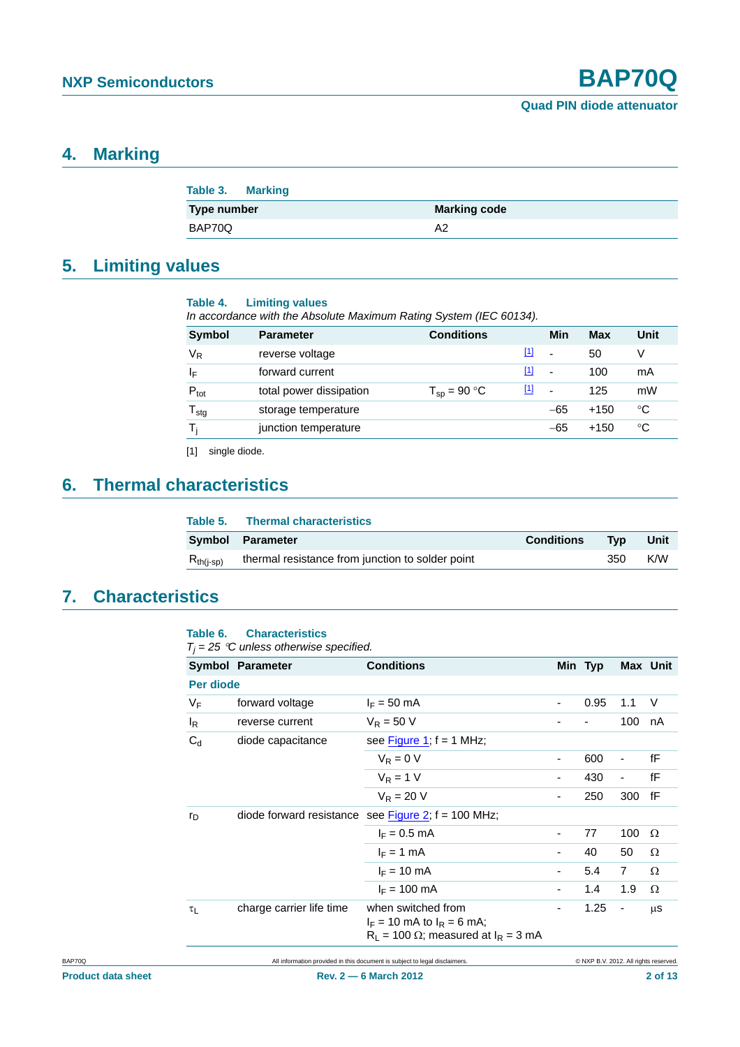### <span id="page-1-1"></span>**4. Marking**

| <b>Table 3. Marking</b> |                     |
|-------------------------|---------------------|
| Type number             | <b>Marking code</b> |
| BAP70Q                  | A2                  |

## <span id="page-1-2"></span>**5. Limiting values**

| Table 4. | <b>Limiting values</b> |     |  |
|----------|------------------------|-----|--|
|          |                        | . . |  |

| 10010T | <b>ERROR YARDO</b>                                                 |
|--------|--------------------------------------------------------------------|
|        | In accordance with the Absolute Maximum Rating System (IEC 60134). |
|        |                                                                    |

| <b>Symbol</b>    | <b>Parameter</b>        | <b>Conditions</b> |             | Min                      | Max    | <b>Unit</b> |
|------------------|-------------------------|-------------------|-------------|--------------------------|--------|-------------|
| $V_R$            | reverse voltage         |                   | [1]         | $\blacksquare$           | 50     | v           |
| ΙF               | forward current         |                   | <u>[1]</u>  | $\overline{a}$           | 100    | mA          |
| $P_{\text{tot}}$ | total power dissipation | $T_{SD}$ = 90 °C  | $\boxed{1}$ | $\overline{\phantom{a}}$ | 125    | mW          |
| $T_{\text{stg}}$ | storage temperature     |                   |             | $-65$                    | $+150$ | ℃           |
|                  | junction temperature    |                   |             | $-65$                    | $+150$ | ℃           |
|                  |                         |                   |             |                          |        |             |

<span id="page-1-0"></span>[1] single diode.

## <span id="page-1-3"></span>**6. Thermal characteristics**

|                | Table 5. Thermal characteristics                 |                   |     |      |
|----------------|--------------------------------------------------|-------------------|-----|------|
|                | Symbol Parameter                                 | <b>Conditions</b> | Tvp | Unit |
| $R_{th(i-sp)}$ | thermal resistance from junction to solder point |                   | 350 | K/W  |

## <span id="page-1-4"></span>**7. Characteristics**

#### **Table 6. Characteristics**

 $T_j = 25$  °C unless otherwise specified.

|           | <b>Symbol Parameter</b>  | <b>Conditions</b>                                                                                       |                          | Min Typ                               |                          | Max Unit |
|-----------|--------------------------|---------------------------------------------------------------------------------------------------------|--------------------------|---------------------------------------|--------------------------|----------|
| Per diode |                          |                                                                                                         |                          |                                       |                          |          |
| $V_F$     | forward voltage          | $I_F = 50$ mA                                                                                           | $\overline{\phantom{a}}$ | 0.95                                  | 1.1                      | V        |
| $I_R$     | reverse current          | $V_R = 50 V$                                                                                            |                          |                                       | 100                      | nA       |
| $C_d$     | diode capacitance        | see Figure 1; $f = 1$ MHz;                                                                              |                          |                                       |                          |          |
|           |                          | $V_R = 0 V$                                                                                             | $\overline{\phantom{0}}$ | 600                                   | ٠                        | fF       |
|           |                          | $V_R = 1 V$                                                                                             | ٠                        | 430                                   | $\overline{\phantom{a}}$ | fF       |
|           |                          | $V_R = 20 V$                                                                                            | ٠                        | 250                                   | 300                      | fF       |
| $r_{D}$   |                          | diode forward resistance see Figure 2; $f = 100$ MHz;                                                   |                          |                                       |                          |          |
|           |                          | $I_F = 0.5$ mA                                                                                          | $\overline{\phantom{0}}$ | 77                                    | 100                      | Ω        |
|           |                          | $I_F = 1$ mA                                                                                            | ٠                        | 40                                    | 50                       | Ω        |
|           |                          | $I_F = 10 \text{ mA}$                                                                                   | -                        | 5.4                                   | $\overline{7}$           | Ω        |
|           |                          | $I_F = 100$ mA                                                                                          | $\overline{\phantom{0}}$ | 1.4                                   | 1.9                      | Ω        |
| $\tau_L$  | charge carrier life time | when switched from<br>$I_F = 10$ mA to $I_R = 6$ mA;<br>$R_1$ = 100 $\Omega$ ; measured at $I_R$ = 3 mA | $\overline{\phantom{0}}$ | 1.25                                  | $\overline{\phantom{a}}$ | $\mu$ S  |
|           |                          | All information provided in this document is subject to legal disclaimers.                              |                          | C NXP B.V. 2012. All rights reserved. |                          |          |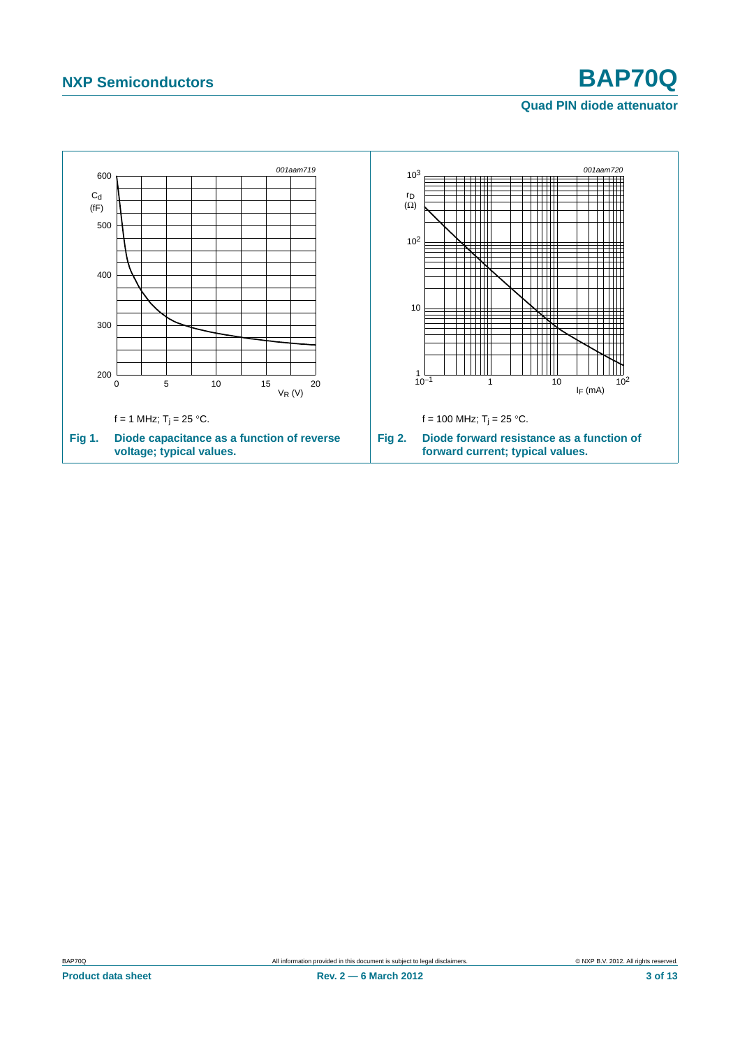### <span id="page-2-1"></span>**Quad PIN diode attenuator**

<span id="page-2-0"></span>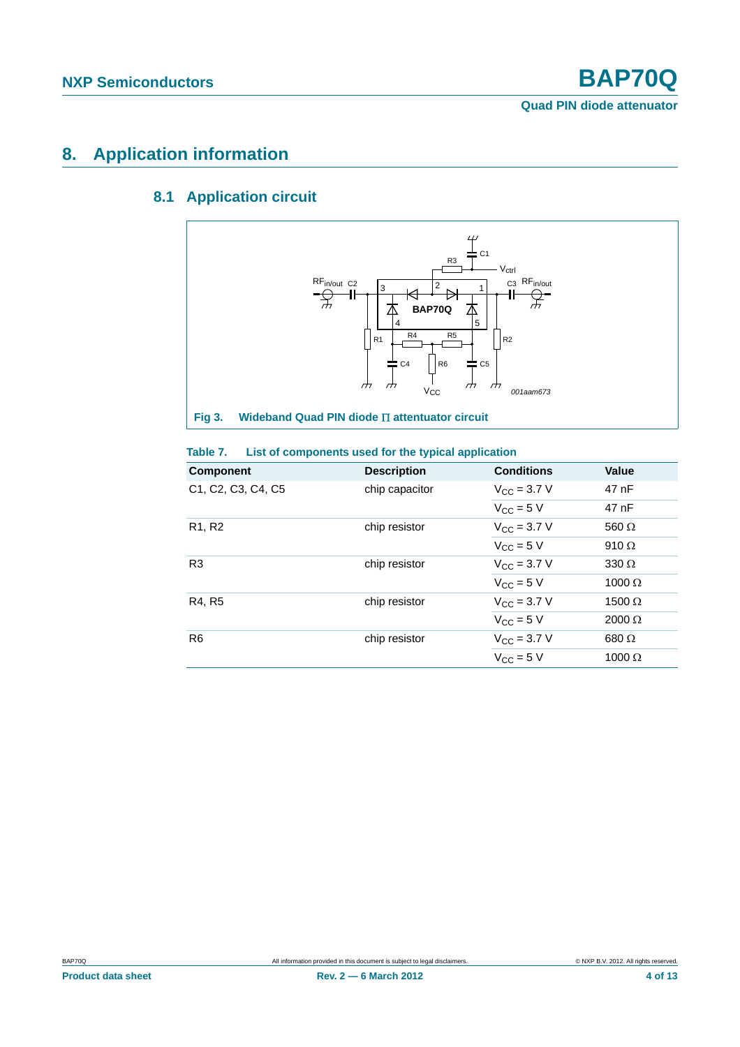## <span id="page-3-1"></span><span id="page-3-0"></span>**8. Application information**

## **8.1 Application circuit**



### **Fig 3.** Wideband Quad PIN diode  $\Pi$  attentuator circuit

#### **Table 7. List of components used for the typical application**

| <b>Component</b>                | <b>Description</b> | <b>Conditions</b>            | <b>Value</b>  |
|---------------------------------|--------------------|------------------------------|---------------|
| C1, C2, C3, C4, C5              | chip capacitor     | $V_{\rm CC} = 3.7 \text{ V}$ | 47 nF         |
|                                 |                    | $V_{CC}$ = 5 V               | 47 nF         |
| R <sub>1</sub> , R <sub>2</sub> | chip resistor      | $V_{\rm CC}$ = 3.7 V         | 560 $\Omega$  |
|                                 |                    | $V_{\rm CC}$ = 5 V           | 910 $\Omega$  |
| R <sub>3</sub>                  | chip resistor      | $V_{\rm CC}$ = 3.7 V         | 330 $\Omega$  |
|                                 |                    | $V_{CC}$ = 5 V               | $1000 \Omega$ |
| R4, R5                          | chip resistor      | $V_{\rm CC}$ = 3.7 V         | 1500 $\Omega$ |
|                                 |                    | $V_{\rm CC}$ = 5 V           | $2000 \Omega$ |
| R <sub>6</sub>                  | chip resistor      | $V_{\rm CC}$ = 3.7 V         | 680 $\Omega$  |
|                                 |                    | $V_{\text{CC}} = 5$ V        | $1000 \Omega$ |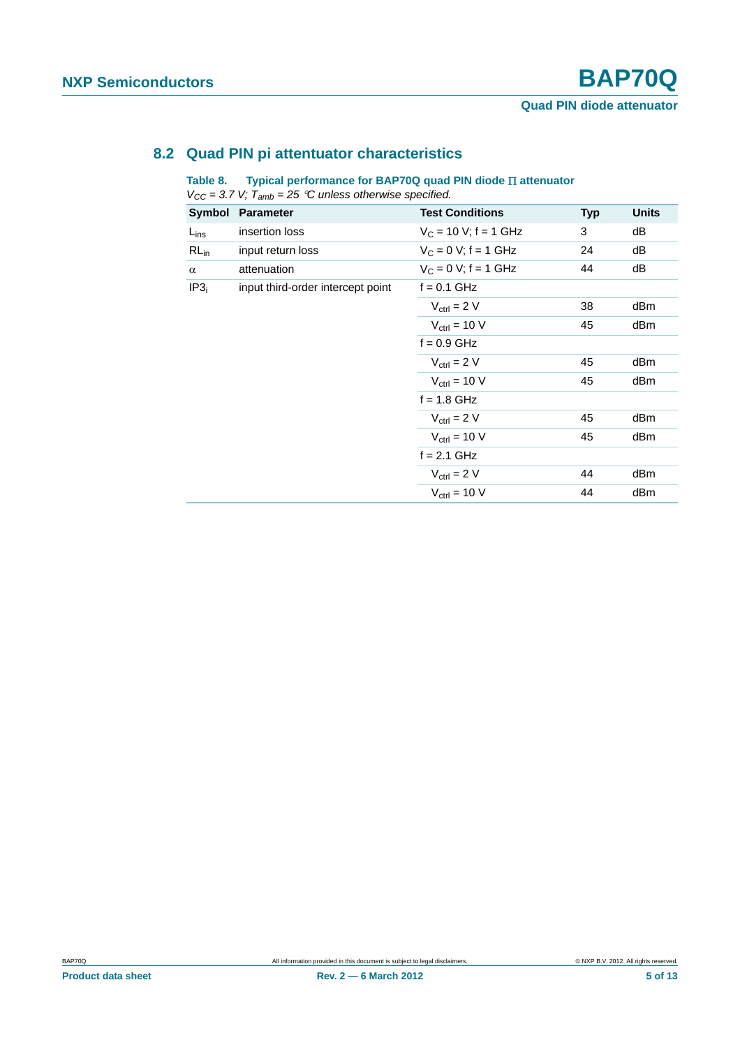### <span id="page-4-1"></span>**8.2 Quad PIN pi attentuator characteristics**

#### <span id="page-4-0"></span>Table 8. Typical performance for BAP70Q quad PIN diode **II** attenuator

*VCC = 3.7 V; Tamb = 25 C unless otherwise specified.*

| Symbol           | <b>Parameter</b>                  | <b>Test Conditions</b>   | <b>Typ</b> | <b>Units</b> |
|------------------|-----------------------------------|--------------------------|------------|--------------|
| $L_{ins}$        | insertion loss                    | $V_C$ = 10 V; f = 1 GHz  | 3          | dB           |
| $RL_{in}$        | input return loss                 | $V_C = 0 V$ ; f = 1 GHz  | 24         | dB           |
| $\alpha$         | attenuation                       | $V_C = 0 V$ ; f = 1 GHz  | 44         | dB           |
| IP3 <sub>i</sub> | input third-order intercept point | $f = 0.1$ GHz            |            |              |
|                  |                                   | $V_{\text{ctrl}} = 2 V$  | 38         | dBm          |
|                  |                                   | $V_{\text{ctrl}} = 10 V$ | 45         | dBm          |
|                  |                                   | $f = 0.9$ GHz            |            |              |
|                  |                                   | $V_{\text{ctrl}} = 2 V$  | 45         | dBm          |
|                  |                                   | $V_{\text{ctrl}} = 10 V$ | 45         | dBm          |
|                  |                                   | $f = 1.8$ GHz            |            |              |
|                  |                                   | $V_{\text{ctrl}} = 2 V$  | 45         | dBm          |
|                  |                                   | $V_{\text{ctrl}} = 10 V$ | 45         | dBm          |
|                  |                                   | $f = 2.1$ GHz            |            |              |
|                  |                                   | $V_{\text{ctrl}} = 2 V$  | 44         | dBm          |
|                  |                                   | $V_{\text{ctrl}} = 10 V$ | 44         | dBm          |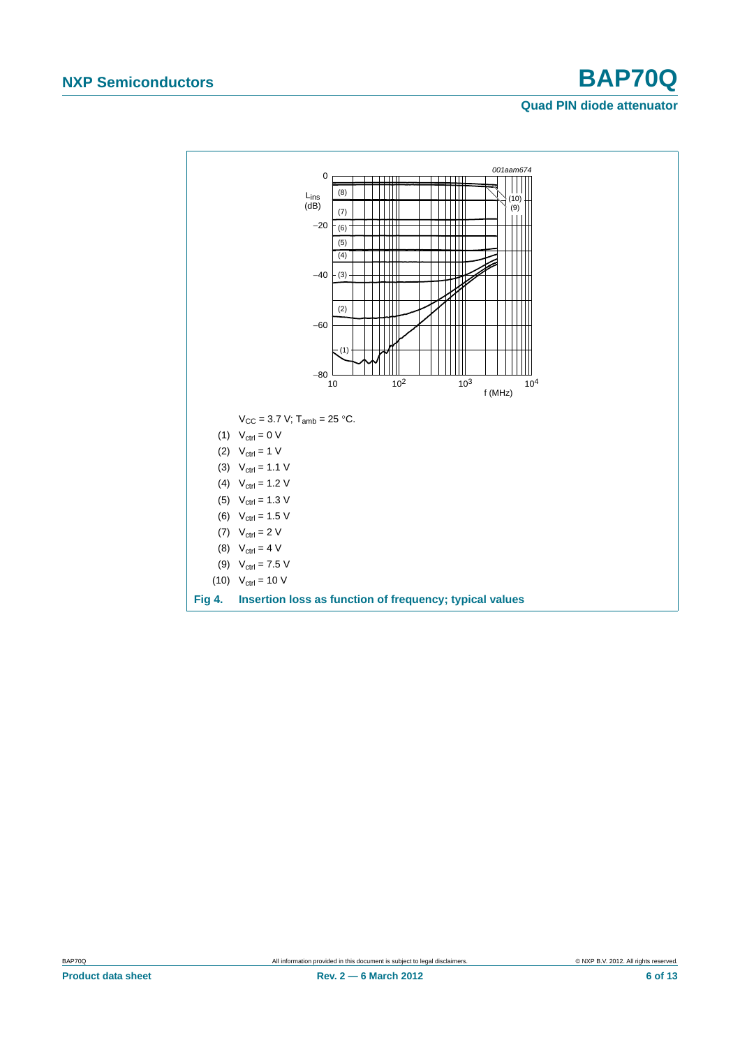#### **Quad PIN diode attenuator**

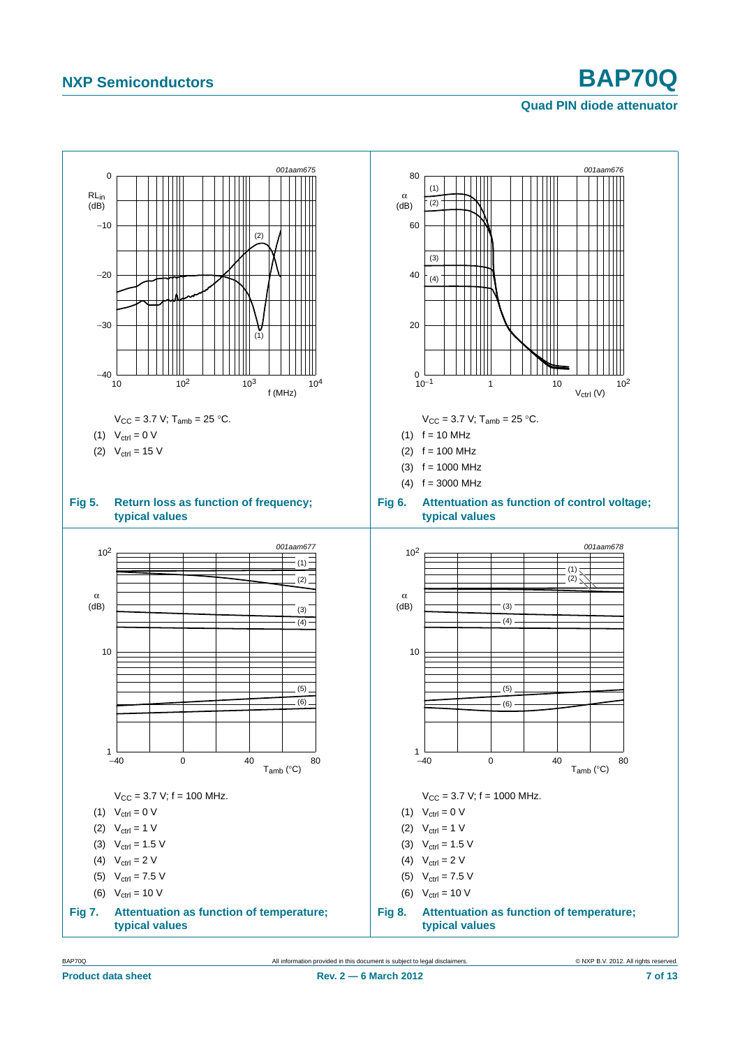## **Quad PIN diode attenuator**



BAP70Q All information provided in this document is subject to legal disclaimers. © NXP B.V. 2012. All rights reserved.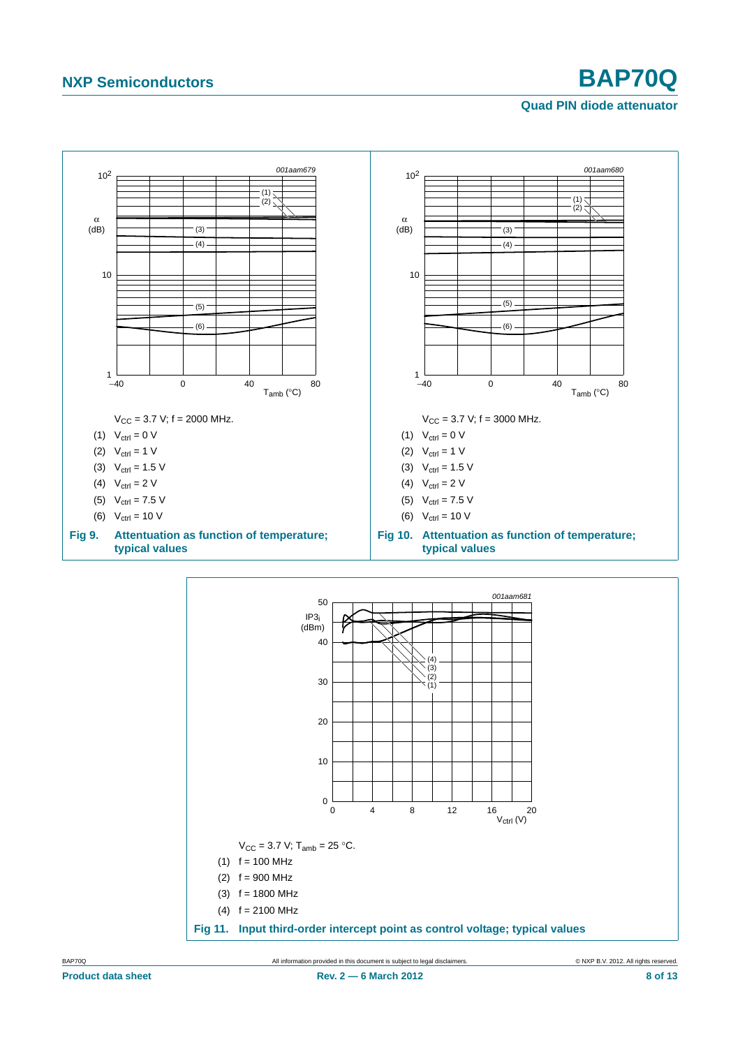## **Quad PIN diode attenuator**



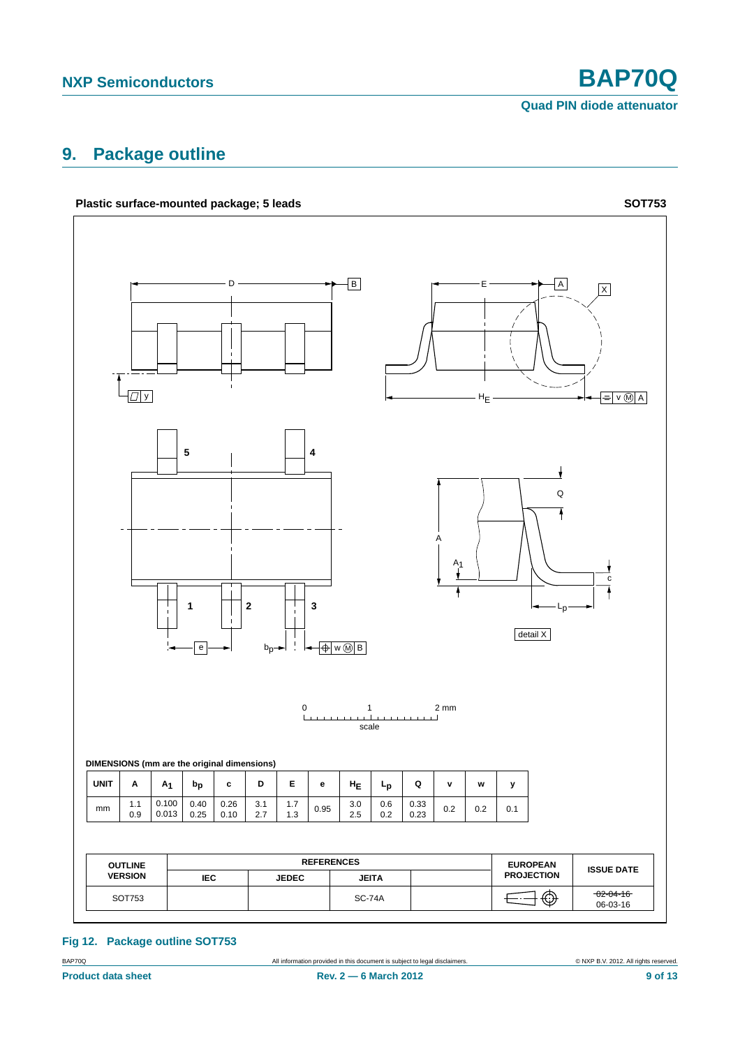**Quad PIN diode attenuator**

## <span id="page-8-0"></span>**9. Package outline**



**Fig 12. Package outline SOT753**

BAP70Q All information provided in this document is subject to legal disclaimers. © NXP B.V. 2012. All rights reserved.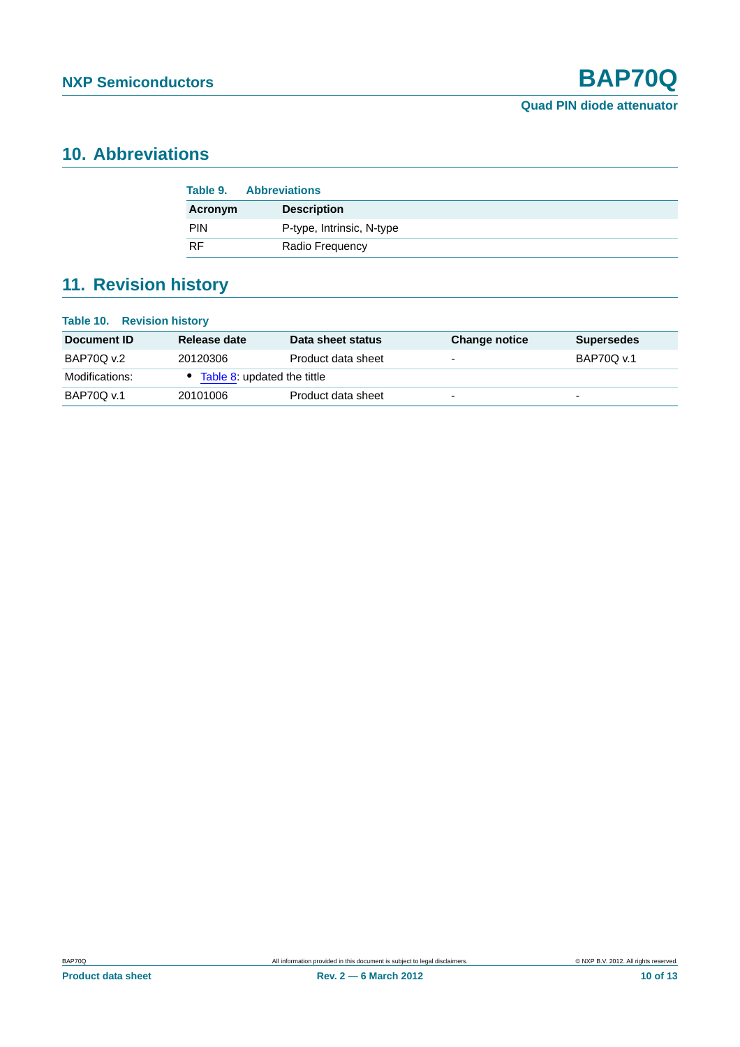## <span id="page-9-0"></span>**10. Abbreviations**

| Table 9.   | <b>Abbreviations</b>      |
|------------|---------------------------|
| Acronym    | <b>Description</b>        |
| <b>PIN</b> | P-type, Intrinsic, N-type |
| <b>RF</b>  | Radio Frequency           |

## <span id="page-9-1"></span>**11. Revision history**

| <b>Table 10. Revision history</b> |                               |                    |                          |                          |  |
|-----------------------------------|-------------------------------|--------------------|--------------------------|--------------------------|--|
| Document ID                       | Release date                  | Data sheet status  | <b>Change notice</b>     | <b>Supersedes</b>        |  |
| <b>BAP70Q v.2</b>                 | 20120306                      | Product data sheet | $\overline{\phantom{0}}$ | BAP70Q v.1               |  |
| Modifications:                    | • Table 8: updated the tittle |                    |                          |                          |  |
| BAP70Q v.1                        | 20101006                      | Product data sheet | $\overline{\phantom{0}}$ | $\overline{\phantom{0}}$ |  |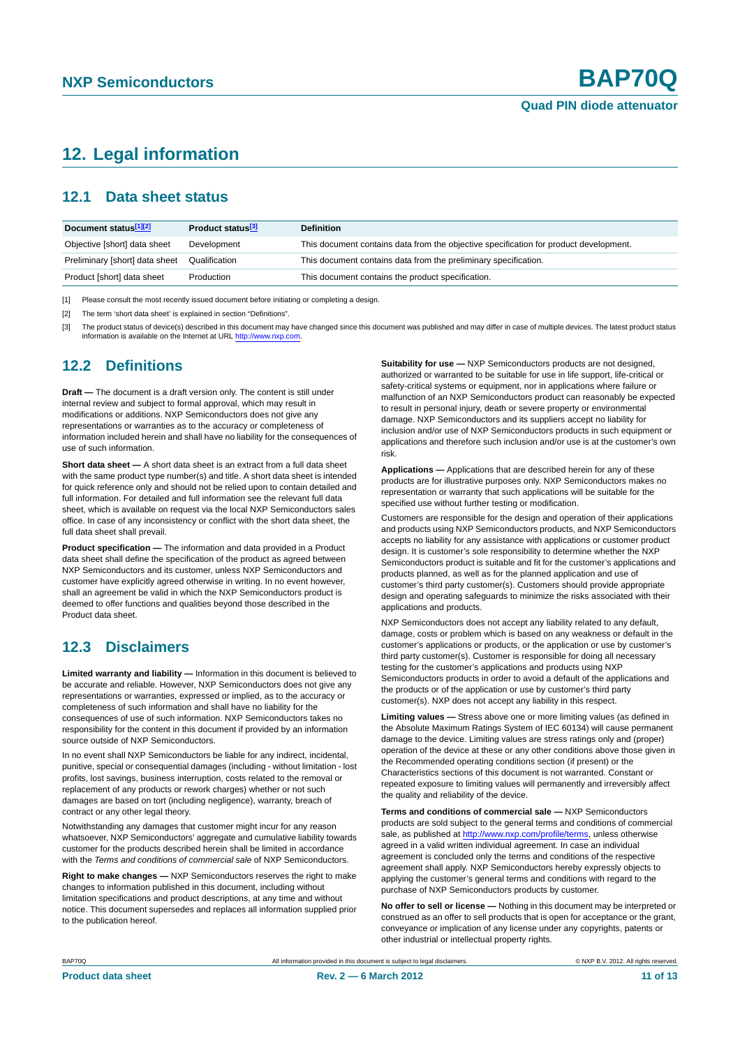## <span id="page-10-0"></span>**12. Legal information**

### <span id="page-10-1"></span>**12.1 Data sheet status**

| Document status <sup>[1][2]</sup> | Product status <sup>[3]</sup> | <b>Definition</b>                                                                     |
|-----------------------------------|-------------------------------|---------------------------------------------------------------------------------------|
| Objective [short] data sheet      | Development                   | This document contains data from the objective specification for product development. |
| Preliminary [short] data sheet    | Qualification                 | This document contains data from the preliminary specification.                       |
| Product [short] data sheet        | Production                    | This document contains the product specification.                                     |

[1] Please consult the most recently issued document before initiating or completing a design.

[2] The term 'short data sheet' is explained in section "Definitions".

[3] The product status of device(s) described in this document may have changed since this document was published and may differ in case of multiple devices. The latest product status<br>information is available on the Intern

#### <span id="page-10-2"></span>**12.2 Definitions**

**Draft —** The document is a draft version only. The content is still under internal review and subject to formal approval, which may result in modifications or additions. NXP Semiconductors does not give any representations or warranties as to the accuracy or completeness of information included herein and shall have no liability for the consequences of use of such information.

**Short data sheet —** A short data sheet is an extract from a full data sheet with the same product type number(s) and title. A short data sheet is intended for quick reference only and should not be relied upon to contain detailed and full information. For detailed and full information see the relevant full data sheet, which is available on request via the local NXP Semiconductors sales office. In case of any inconsistency or conflict with the short data sheet, the full data sheet shall prevail.

**Product specification —** The information and data provided in a Product data sheet shall define the specification of the product as agreed between NXP Semiconductors and its customer, unless NXP Semiconductors and customer have explicitly agreed otherwise in writing. In no event however, shall an agreement be valid in which the NXP Semiconductors product is deemed to offer functions and qualities beyond those described in the Product data sheet.

### <span id="page-10-3"></span>**12.3 Disclaimers**

**Limited warranty and liability —** Information in this document is believed to be accurate and reliable. However, NXP Semiconductors does not give any representations or warranties, expressed or implied, as to the accuracy or completeness of such information and shall have no liability for the consequences of use of such information. NXP Semiconductors takes no responsibility for the content in this document if provided by an information source outside of NXP Semiconductors.

In no event shall NXP Semiconductors be liable for any indirect, incidental, punitive, special or consequential damages (including - without limitation - lost profits, lost savings, business interruption, costs related to the removal or replacement of any products or rework charges) whether or not such damages are based on tort (including negligence), warranty, breach of contract or any other legal theory.

Notwithstanding any damages that customer might incur for any reason whatsoever, NXP Semiconductors' aggregate and cumulative liability towards customer for the products described herein shall be limited in accordance with the *Terms and conditions of commercial sale* of NXP Semiconductors.

**Right to make changes —** NXP Semiconductors reserves the right to make changes to information published in this document, including without limitation specifications and product descriptions, at any time and without notice. This document supersedes and replaces all information supplied prior to the publication hereof.

**Suitability for use —** NXP Semiconductors products are not designed, authorized or warranted to be suitable for use in life support, life-critical or safety-critical systems or equipment, nor in applications where failure or malfunction of an NXP Semiconductors product can reasonably be expected to result in personal injury, death or severe property or environmental damage. NXP Semiconductors and its suppliers accept no liability for inclusion and/or use of NXP Semiconductors products in such equipment or applications and therefore such inclusion and/or use is at the customer's own risk.

**Applications —** Applications that are described herein for any of these products are for illustrative purposes only. NXP Semiconductors makes no representation or warranty that such applications will be suitable for the specified use without further testing or modification.

Customers are responsible for the design and operation of their applications and products using NXP Semiconductors products, and NXP Semiconductors accepts no liability for any assistance with applications or customer product design. It is customer's sole responsibility to determine whether the NXP Semiconductors product is suitable and fit for the customer's applications and products planned, as well as for the planned application and use of customer's third party customer(s). Customers should provide appropriate design and operating safeguards to minimize the risks associated with their applications and products.

NXP Semiconductors does not accept any liability related to any default, damage, costs or problem which is based on any weakness or default in the customer's applications or products, or the application or use by customer's third party customer(s). Customer is responsible for doing all necessary testing for the customer's applications and products using NXP Semiconductors products in order to avoid a default of the applications and the products or of the application or use by customer's third party customer(s). NXP does not accept any liability in this respect.

**Limiting values —** Stress above one or more limiting values (as defined in the Absolute Maximum Ratings System of IEC 60134) will cause permanent damage to the device. Limiting values are stress ratings only and (proper) operation of the device at these or any other conditions above those given in the Recommended operating conditions section (if present) or the Characteristics sections of this document is not warranted. Constant or repeated exposure to limiting values will permanently and irreversibly affect the quality and reliability of the device.

**Terms and conditions of commercial sale —** NXP Semiconductors products are sold subject to the general terms and conditions of commercial sale, as published at<http://www.nxp.com/profile/terms>, unless otherwise agreed in a valid written individual agreement. In case an individual agreement is concluded only the terms and conditions of the respective agreement shall apply. NXP Semiconductors hereby expressly objects to applying the customer's general terms and conditions with regard to the purchase of NXP Semiconductors products by customer.

**No offer to sell or license —** Nothing in this document may be interpreted or construed as an offer to sell products that is open for acceptance or the grant, conveyance or implication of any license under any copyrights, patents or other industrial or intellectual property rights.

BAP70Q All information provided in this document is subject to legal disclaimers. © NXP B.V. 2012. All rights reserved.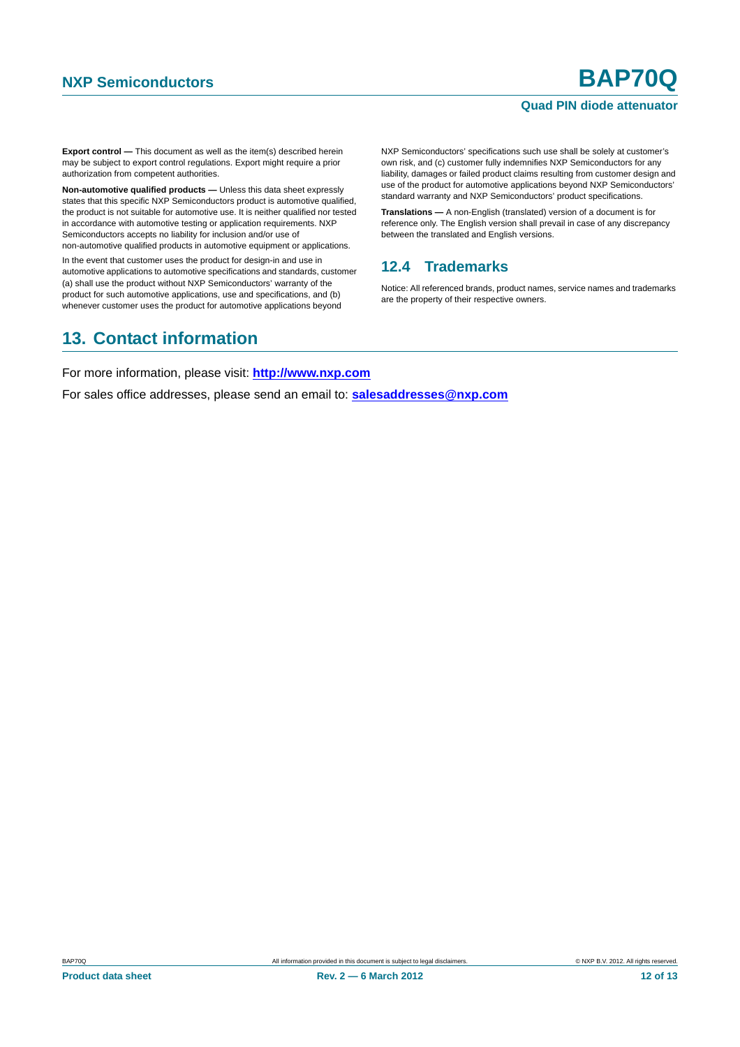#### **Quad PIN diode attenuator**

**Export control —** This document as well as the item(s) described herein may be subject to export control regulations. Export might require a prior authorization from competent authorities.

**Non-automotive qualified products —** Unless this data sheet expressly states that this specific NXP Semiconductors product is automotive qualified, the product is not suitable for automotive use. It is neither qualified nor tested in accordance with automotive testing or application requirements. NXP Semiconductors accepts no liability for inclusion and/or use of non-automotive qualified products in automotive equipment or applications.

In the event that customer uses the product for design-in and use in automotive applications to automotive specifications and standards, customer (a) shall use the product without NXP Semiconductors' warranty of the product for such automotive applications, use and specifications, and (b) whenever customer uses the product for automotive applications beyond

NXP Semiconductors' specifications such use shall be solely at customer's own risk, and (c) customer fully indemnifies NXP Semiconductors for any liability, damages or failed product claims resulting from customer design and use of the product for automotive applications beyond NXP Semiconductors' standard warranty and NXP Semiconductors' product specifications.

**Translations —** A non-English (translated) version of a document is for reference only. The English version shall prevail in case of any discrepancy between the translated and English versions.

### <span id="page-11-0"></span>**12.4 Trademarks**

Notice: All referenced brands, product names, service names and trademarks are the property of their respective owners.

## <span id="page-11-1"></span>**13. Contact information**

For more information, please visit: **http://www.nxp.com**

For sales office addresses, please send an email to: **salesaddresses@nxp.com**